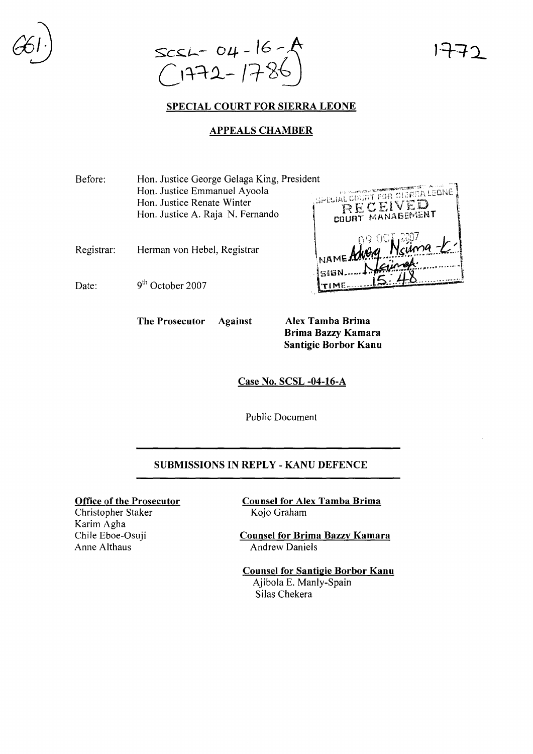

#### **SPECIAL COURT FOR SIERRA LEONE**

#### **APPEALS CHAMBER**

| Before:    | Hon. Justice George Gelaga King, President |                                 |  |
|------------|--------------------------------------------|---------------------------------|--|
|            | Hon. Justice Emmanuel Ayoola               | SPECIAL COURT FOR CIDERA LEONE. |  |
|            | Hon. Justice Renate Winter                 | RECEIVED                        |  |
|            | Hon. Justice A. Raja N. Fernando           | <b>COURT MANAGEMENT</b>         |  |
| Registrar: | Herman von Hebel, Registrar                | INAME Adverg Neuma-E.)          |  |
|            |                                            | ingk.                           |  |
| Date:      | $9th$ October 2007                         |                                 |  |
|            |                                            |                                 |  |

**The Prosecutor Against Alex Tamba Brima**

**Brima Bazzy Kamara Santigie Borbor Kanu**

**Case No. SCSL -04-16-A**

Public Document

#### **SUBMISSIONS IN REPLY - KANU DEFENCE**

**Office of the Prosecutor**

Christopher Staker Karim Agha Chile Eboe-Osuji Anne Althaus

**Counsel for Alex Tamba Brima** Kojo Graham

**Counsel for Brima Bazzy Kamara** Andrew Daniels

**Counsel for Santigie Borbor Kanu** Ajibola E. Manly-Spain Silas Chekera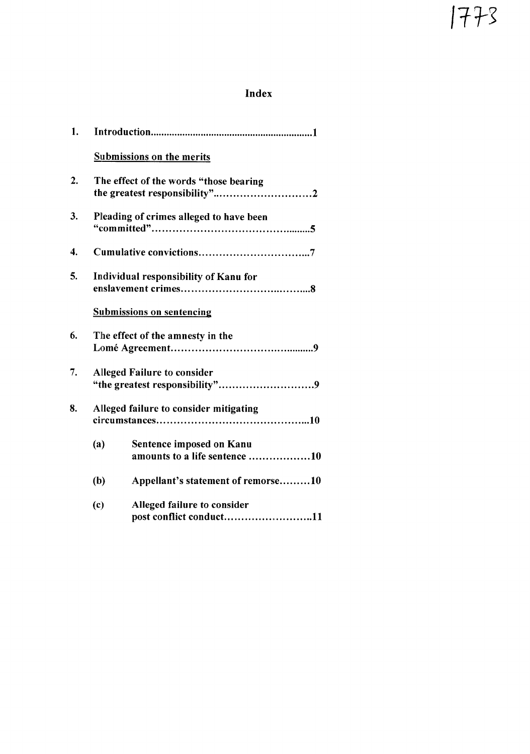# Index

| 1. |                                         |                                                           |  |
|----|-----------------------------------------|-----------------------------------------------------------|--|
|    |                                         | <b>Submissions on the merits</b>                          |  |
| 2. |                                         | The effect of the words "those bearing                    |  |
| 3. | Pleading of crimes alleged to have been |                                                           |  |
| 4. |                                         |                                                           |  |
| 5. |                                         | Individual responsibility of Kanu for                     |  |
|    |                                         | <b>Submissions on sentencing</b>                          |  |
| 6. |                                         | The effect of the amnesty in the                          |  |
| 7. |                                         | <b>Alleged Failure to consider</b>                        |  |
| 8. |                                         | Alleged failure to consider mitigating                    |  |
|    | (a)                                     | Sentence imposed on Kanu<br>amounts to a life sentence 10 |  |
|    | (b)                                     | Appellant's statement of remorse10                        |  |
|    | (c)                                     | Alleged failure to consider<br>post conflict conduct11    |  |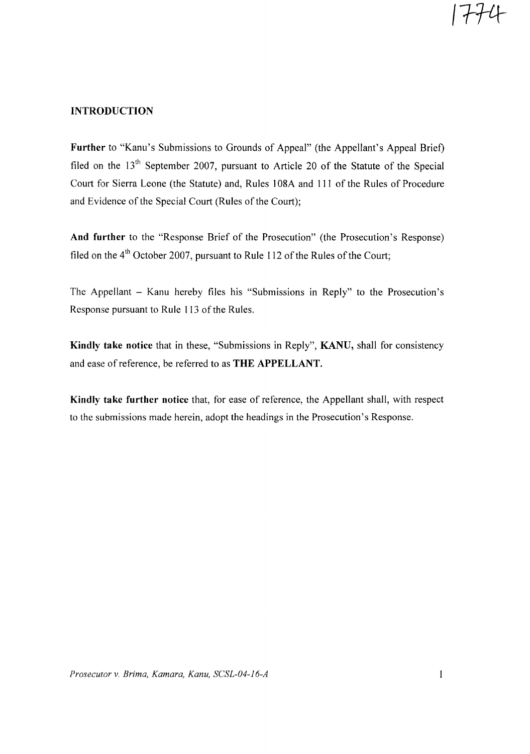### INTRODUCTION

Further to "Kanu's Submissions to Grounds of Appeal" (the Appellant's Appeal Brief) filed on the 13<sup>th</sup> September 2007, pursuant to Article 20 of the Statute of the Special Court for Sierra Leone (the Statute) and, Rules 108A and 111 of the Rules of Procedure and Evidence of the Special Court (Rules of the Court);

And further to the "Response Brief of the Prosecution" (the Prosecution's Response) filed on the  $4<sup>th</sup>$  October 2007, pursuant to Rule 112 of the Rules of the Court;

The Appellant - Kanu hereby files his "Submissions in Reply" to the Prosecution's Response pursuant to Rule 113 of the Rules.

Kindly take notice that in these, "Submissions in Reply", KANU, shall for consistency and ease of reference, be referred to as THE APPELLANT.

Kindly take further notice that, for ease of reference, the Appellant shall, with respect to the submissions made herein, adopt the headings in the Prosecution's Response.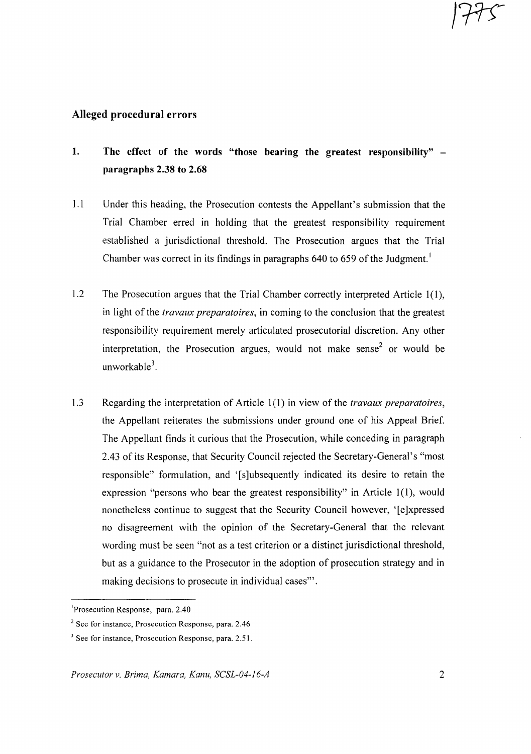### **Alleged procedural errors**

- **1. The effect of the words "those bearing the greatest responsibility" paragraphs 2.38 to 2.68**
- 1.1 Under this heading, the Prosecution contests the Appellant's submission that the Trial Chamber erred in holding that the greatest responsibility requirement established a jurisdictional threshold. The Prosecution argues that the Trial Chamber was correct in its findings in paragraphs 640 to 659 of the Judgment.<sup>1</sup>
- 1.2 The Prosecution argues that the Trial Chamber correctly interpreted Article 1(1), in light of the *travaux preparatoires,* in coming to the conclusion that the greatest responsibility requirement merely articulated prosecutorial discretion. Any other interpretation, the Prosecution argues, would not make sense<sup>2</sup> or would be unworkable<sup>3</sup>.
- 1.3 Regarding the interpretation of Article 1(1) in view of the *travaux preparatoires,* the Appellant reiterates the submissions under ground one of his Appeal Brief. The Appellant finds it curious that the Prosecution, while conceding in paragraph 2.43 of its Response, that Security Council rejected the Secretary-General's "most responsible" formulation, and '[s]ubsequently indicated its desire to retain the expression "persons who bear the greatest responsibility" in Article 1(1), would nonetheless continue to suggest that the Security Council however, '[e]xpressed no disagreement with the opinion of the Secretary-General that the relevant wording must be seen "not as a test criterion or a distinct jurisdictional threshold, but as a guidance to the Prosecutor in the adoption of prosecution strategy and in making decisions to prosecute in individual cases"'.

1775

<sup>&</sup>lt;sup>1</sup>Prosecution Response, para. 2.40

<sup>2</sup> See for instance, Prosecution Response, para. 2.46

<sup>&</sup>lt;sup>3</sup> See for instance, Prosecution Response, para. 2.51.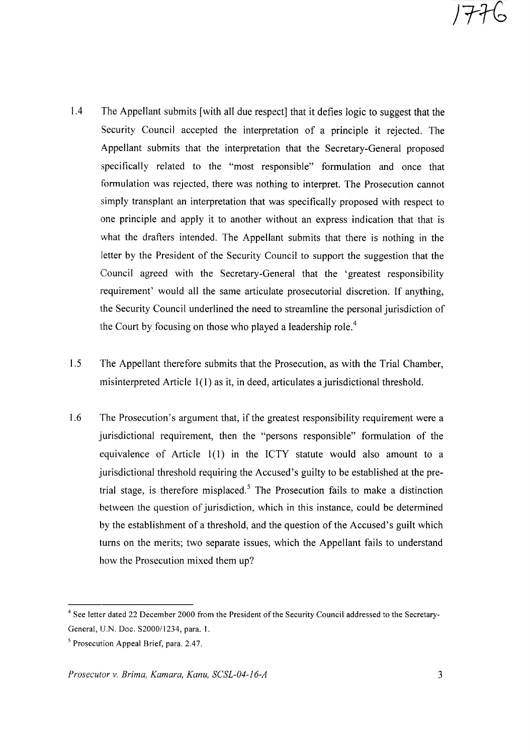- 1.4 The Appellant submits [with all due respect] that it defies logic to suggest that the Security Council accepted the interpretation of a principle it rejected. The Appellant submits that the interpretation that the Secretary-General proposed specifically related to the "most responsible" formulation and once that formulation was rejected, there was nothing to interpret. The Prosecution cannot simply transplant an interpretation that was specifically proposed with respect to one principle and apply it to another without an express indication that that is what the drafters intended. The Appellant submits that there is nothing in the letter by the President of the Security Council to support the suggestion that the Council agreed with the Secretary-General that the 'greatest responsibility requirement' would all the same articulate prosecutorial discretion. If anything, the Security Council underlined the need to streamline the personal jurisdiction of the Court by focusing on those who played a leadership role.<sup>4</sup>
- 1.5 The Appellant therefore submits that the Prosecution, as with the Trial Chamber, misinterpreted Article 1(1) as it, in deed, articulates a jurisdictional threshold.
- 1.6 The Prosecution's argument that, if the greatest responsibility requirement were a jurisdictional requirement, then the "persons responsible" formulation of the equivalence of Article 1(l) in the ICTY statute would also amount to a jurisdictional threshold requiring the Accused's guilty to be established at the pretrial stage, is therefore misplaced.<sup>5</sup> The Prosecution fails to make a distinction between the question of jurisdiction, which in this instance, could be determined by the establishment of a threshold, and the question of the Accused's guilt which turns on the merits; two separate issues, which the Appellant fails to understand how the Prosecution mixed them up?

<sup>&</sup>lt;sup>4</sup> See letter dated 22 December 2000 from the President of the Security Council addressed to the Secretary-General, U.N. Doc. S2000/1234, para. 1.

<sup>5</sup> Prosecution Appeal Brief, para. 2.47.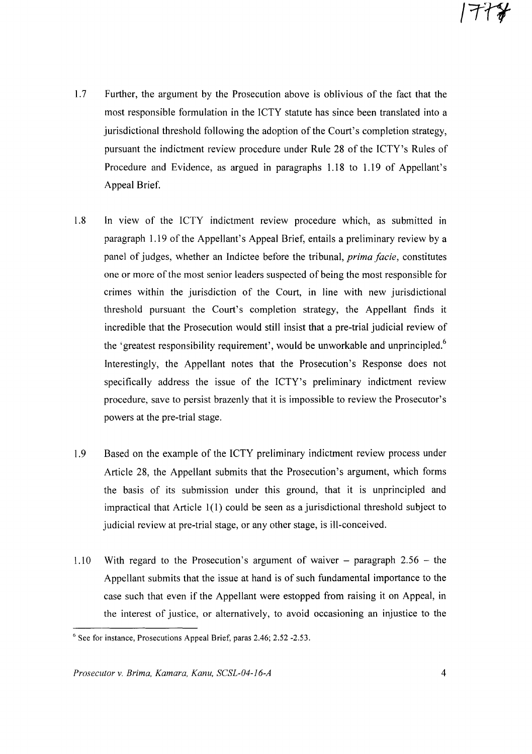- 1.7 Further, the argument by the Prosecution above is oblivious of the fact that the most responsible formulation in the ICTY statute has since been translated into a jurisdictional threshold following the adoption ofthe Court's completion strategy, pursuant the indictment review procedure under Rule 28 of the ICTY's Rules of Procedure and Evidence, as argued in paragraphs 1.18 to 1.19 of Appellant's Appeal Brief.
- 1.8 In view of the ICTY indictment review procedure which, as submitted in paragraph 1.19 of the Appellant's Appeal Brief, entails a preliminary review by a panel of judges, whether an Indictee before the tribunal, *prima facie,* constitutes one or more ofthe most senior leaders suspected of being the most responsible for crimes within the jurisdiction of the Court, in line with new jurisdictional threshold pursuant the Court's completion strategy, the Appellant finds it incredible that the Prosecution would still insist that a pre-trial judicial review of the 'greatest responsibility requirement', would be unworkable and unprincipled. $6$ Interestingly, the Appellant notes that the Prosecution's Response does not specifically address the issue of the ICTY's preliminary indictment review procedure, save to persist brazenly that it is impossible to review the Prosecutor's powers at the pre-trial stage.
- 1.9 Based on the example of the ICTY preliminary indictment review process under Article 28, the Appellant submits that the Prosecution's argument, which forms the basis of its submission under this ground, that it is unprincipled and impractical that Article 1(l) could be seen as a jurisdictional threshold subject to judicial review at pre-trial stage, or any other stage, is ill-conceived.
- 1.10 With regard to the Prosecution's argument of waiver  $-$  paragraph 2.56  $-$  the Appellant submits that the issue at hand is of such fundamental importance to the case such that even if the Appellant were estopped from raising it on Appeal, in the interest of justice, or alternatively, to avoid occasioning an injustice to the

<sup>&</sup>lt;sup>6</sup> See for instance, Prosecutions Appeal Brief, paras 2.46; 2.52 -2.53.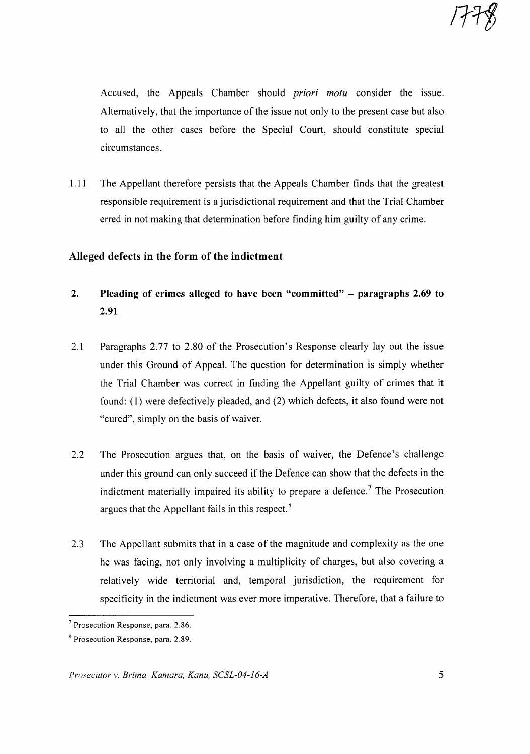Accused, the Appeals Chamber should *priori motu* consider the issue. Alternatively, that the importance of the issue not only to the present case but also to all the other cases before the Special Court, should constitute special circumstances.

1.11 The Appellant therefore persists that the Appeals Chamber finds that the greatest responsible requirement is a jurisdictional requirement and that the Trial Chamber erred in not making that determination before finding him guilty of any crime.

# **Alleged defects in the form of the indictment**

- **2. Pleading of crimes alleged to have been "committed" - paragraphs 2.69 to 2.91**
- 2.1 Paragraphs 2.77 to 2.80 of the Prosecution's Response clearly layout the issue under this Ground of Appeal. The question for determination is simply whether the Trial Chamber was correct in finding the Appellant guilty of crimes that it found: (1) were defectively pleaded, and (2) which defects, it also found were not "cured", simply on the basis of waiver.
- 2.2 The Prosecution argues that, on the basis of waiver, the Defence's challenge under this ground can only succeed if the Defence can show that the defects in the indictment materially impaired its ability to prepare a defence.<sup>7</sup> The Prosecution argues that the Appellant fails in this respect. <sup>8</sup>
- 2.3 The Appellant submits that in a case of the magnitude and complexity as the one he was facing, not only involving a multiplicity of charges, but also covering a relatively wide territorial and, temporal jurisdiction, the requirement for specificity in the indictment was ever more imperative. Therefore, that a failure to

<sup>7</sup> Prosecution Response, para. 2.86.

<sup>&</sup>lt;sup>8</sup> Prosecution Response, para. 2.89.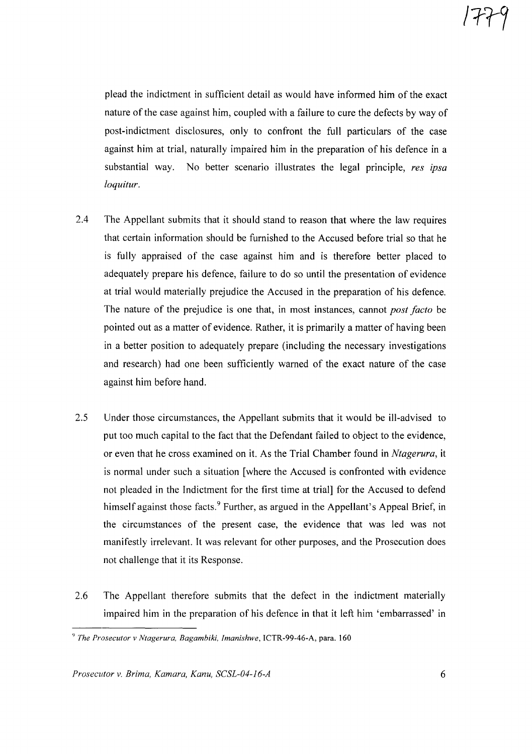plead the indictment in sufficient detail as would have informed him of the exact nature of the case against him, coupled with a failure to cure the defects by way of post-indictment disclosures, only to confront the full particulars of the case against him at trial, naturally impaired him in the preparation of his defence in a substantial way. No better scenario illustrates the legal principle, *res ipsa loquitur.*

- 2.4 The Appellant submits that it should stand to reason that where the law requires that certain information should be furnished to the Accused before trial so that he is fully appraised of the case against him and is therefore better placed to adequately prepare his defence, failure to do so until the presentation of evidence at trial would materially prejudice the Accused in the preparation of his defence. The nature of the prejudice is one that, in most instances, cannot *post facto* be pointed out as a matter of evidence. Rather, it is primarily a matter of having been in a better position to adequately prepare (including the necessary investigations and research) had one been sufficiently warned of the exact nature of the case against him before hand.
- 2.5 Under those circumstances, the Appellant submits that it would be ill-advised to put too much capital to the fact that the Defendant failed to object to the evidence, or even that he cross examined on it. As the Trial Chamber found in *Ntagerura,* it is normal under such a situation [where the Accused is confronted with evidence not pleaded in the Indictment for the first time at trial] for the Accused to defend himself against those facts.<sup>9</sup> Further, as argued in the Appellant's Appeal Brief, in the circumstances of the present case, the evidence that was led was not manifestly irrelevant. It was relevant for other purposes, and the Prosecution does not challenge that it its Response.
- 2.6 The Appellant therefore submits that the defect in the indictment materially impaired him in the preparation of his defence in that it left him 'embarrassed' in

*Prosecutor v. Brima, Kamara, Kanu, SCSL-04-16-A* 6

*<sup>9</sup> The Prosecutor* v *Ntagerura, Bagambiki, Imanishwe,* ICTR-99-46-A, para. 160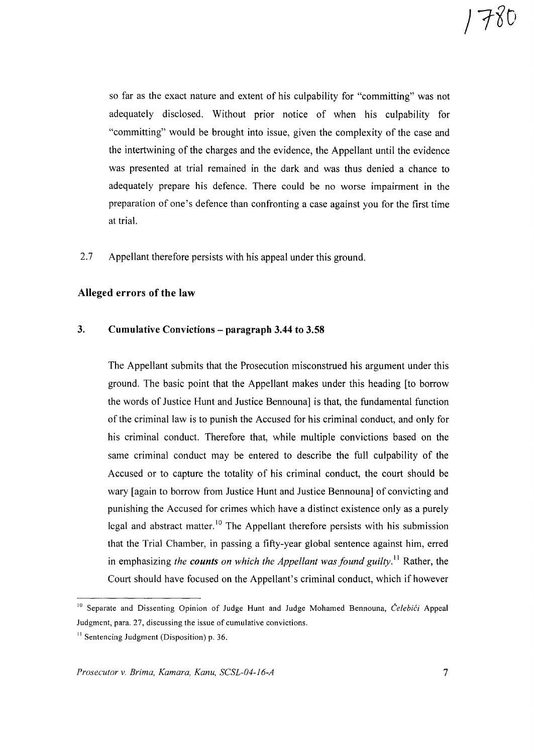so far as the exact nature and extent of his culpability for "committing" was not adequately disclosed. Without prior notice of when his culpability for "committing" would be brought into issue, given the complexity of the case and the intertwining of the charges and the evidence, the Appellant until the evidence was presented at trial remained in the dark and was thus denied a chance to adequately prepare his defence. There could be no worse impairment in the preparation of one's defence than confronting a case against you for the first time at trial.

2.7 Appellant therefore persists with his appeal under this ground.

# Alleged errors of the law

#### 3. Cumulative Convictions - paragraph 3.44 to 3.58

The Appellant submits that the Prosecution misconstrued his argument under this ground. The basic point that the Appellant makes under this heading [to borrow the words of Justice Hunt and Justice Bennouna] is that, the fundamental function of the criminal law is to punish the Accused for his criminal conduct, and only for his criminal conduct. Therefore that, while multiple convictions based on the same criminal conduct may be entered to describe the full culpability of the Accused or to capture the totality of his criminal conduct, the court should be wary [again to borrow from Justice Hunt and Justice Bennouna] of convicting and punishing the Accused for crimes which have a distinct existence only as a purely legal and abstract matter.<sup>10</sup> The Appellant therefore persists with his submission that the Trial Chamber, in passing a fifty-year global sentence against him, erred in emphasizing *the counts on which the Appellant was found guilty.* I I Rather, the Court should have focused on the Appellant's criminal conduct, which if however

<sup>&</sup>lt;sup>10</sup> Separate and Dissenting Opinion of Judge Hunt and Judge Mohamed Bennouna, *Čelebići* Appeal Judgment, para. 27, discussing the issue of cumulative convictions.

 $11$  Sentencing Judgment (Disposition) p. 36.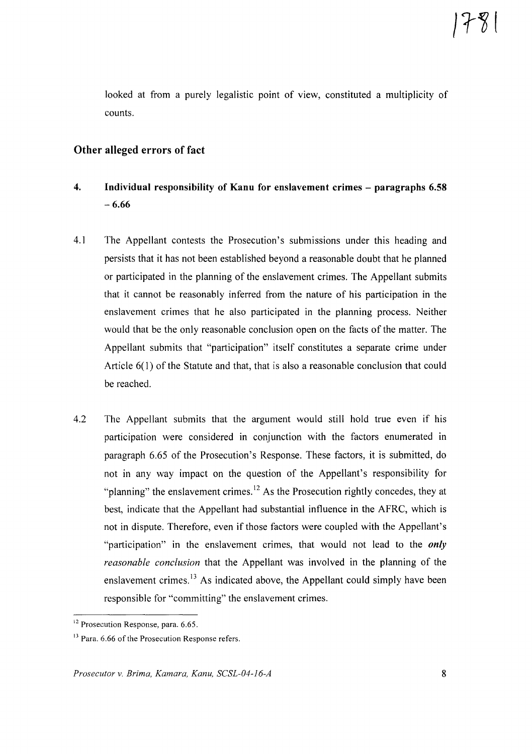looked at from a purely legalistic point of view, constituted a multiplicity of counts.

# Other alleged errors of fact

- 4. Individual responsibility of Kanu for enslavement crimes paragraphs 6.58  $-6.66$
- 4.1 The Appellant contests the Prosecution's submissions under this heading and persists that it has not been established beyond a reasonable doubt that he planned or participated in the planning of the enslavement crimes. The Appellant submits that it cannot be reasonably inferred from the nature of his participation in the enslavement crimes that he also participated in the planning process. Neither would that be the only reasonable conclusion open on the facts of the matter. The Appellant submits that "participation" itself constitutes a separate crime under Article  $6(1)$  of the Statute and that, that is also a reasonable conclusion that could be reached.
- 4.2 The Appellant submits that the argument would still hold true even if his participation were considered in conjunction with the factors enumerated in paragraph 6.65 of the Prosecution's Response. These factors, it is submitted, do not in any way impact on the question of the Appellant's responsibility for "planning" the enslavement crimes.<sup>12</sup> As the Prosecution rightly concedes, they at best, indicate that the Appellant had substantial influence in the AFRC, which is not in dispute. Therefore, even if those factors were coupled with the Appellant's "participation" in the enslavement crimes, that would not lead to the *only reasonable conclusion* that the Appellant was involved in the planning of the enslavement crimes.<sup>13</sup> As indicated above, the Appellant could simply have been responsible for "committing" the enslavement crimes.

<sup>&</sup>lt;sup>12</sup> Prosecution Response, para. 6.65.

<sup>&</sup>lt;sup>13</sup> Para. 6.66 of the Prosecution Response refers.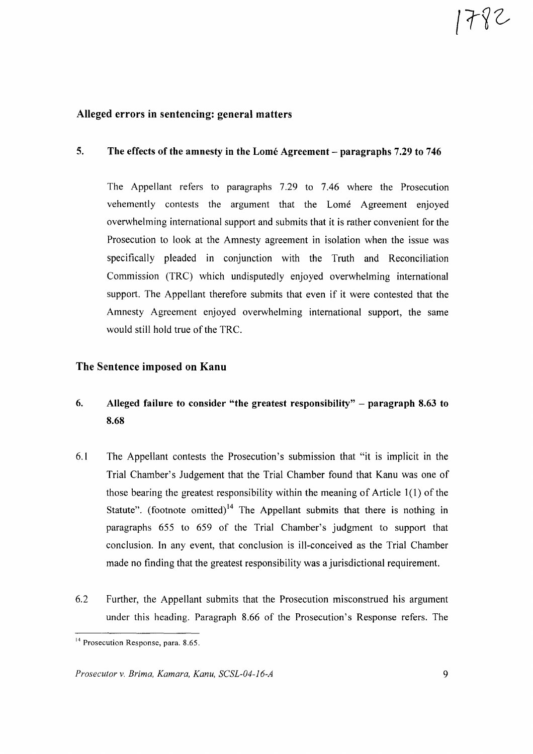1782

#### Alleged errors in sentencing: general matters

#### 5. The effects of the amnesty in the Lomé Agreement – paragraphs 7.29 to 746

The Appellant refers to paragraphs 7.29 to 7.46 where the Prosecution vehemently contests the argument that the Lome Agreement enjoyed overwhelming international support and submits that it is rather convenient for the Prosecution to look at the Amnesty agreement in isolation when the issue was specifically pleaded in conjunction with the Truth and Reconciliation Commission (TRC) which undisputedly enjoyed overwhelming international support. The Appellant therefore submits that even if it were contested that the Amnesty Agreement enjoyed overwhelming international support, the same would still hold true of the TRC.

#### The Sentence imposed on Kanu

# 6. Alleged failure to consider "the greatest responsibility" - paragraph 8.63 to 8.68

- 6.1 The Appellant contests the Prosecution's submission that "it is implicit in the Trial Chamber's Judgement that the Trial Chamber found that Kanu was one of those bearing the greatest responsibility within the meaning of Article  $1(1)$  of the Statute". (footnote omitted)<sup>14</sup> The Appellant submits that there is nothing in paragraphs 655 to 659 of the Trial Chamber's judgment to support that conclusion. In any event, that conclusion is ill-conceived as the Trial Chamber made no finding that the greatest responsibility was a jurisdictional requirement.
- 6.2 Further, the Appellant submits that the Prosecution misconstrued his argument under this heading. Paragraph 8.66 of the Prosecution's Response refers. The

<sup>&</sup>lt;sup>14</sup> Prosecution Response, para. 8.65.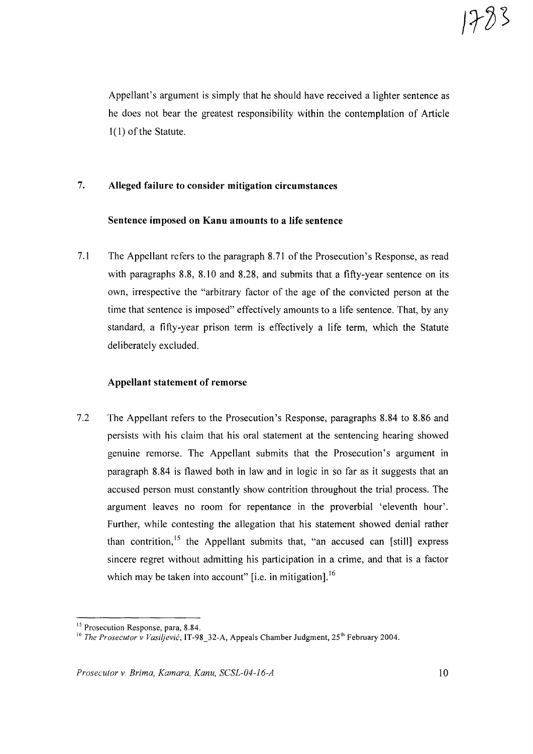Appellant's argument is simply that he should have received a lighter sentence as he does not bear the greatest responsibility within the contemplation of Article  $1(1)$  of the Statute.

# 7. **Alleged failure to consider mitigation circumstances**

#### **Sentence imposed on Kanu amounts to a life sentence**

7.1 The Appellant refers to the paragraph 8.71 of the Prosecution's Response, as read with paragraphs 8.8, 8.10 and 8.28, and submits that a fifty-year sentence on its own, irrespective the "arbitrary factor of the age of the convicted person at the time that sentence is imposed" effectively amounts to a life sentence. That, by any standard, a fifty-year prison term is effectively a life term, which the Statute deliberately excluded.

#### **Appellant statement of remorse**

7.2 The Appellant refers to the Prosecution's Response, paragraphs 8.84 to 8.86 and persists with his claim that his oral statement at the sentencing hearing showed genuine remorse. The Appellant submits that the Prosecution's argument in paragraph 8.84 is flawed both in law and in logic in so far as it suggests that an accused person must constantly show contrition throughout the trial process. The argument leaves no room for repentance in the proverbial 'eleventh hour'. Further, while contesting the allegation that his statement showed denial rather than contrition,<sup>15</sup> the Appellant submits that, "an accused can [still] express sincere regret without admitting his participation in a crime, and that is a factor which may be taken into account" [i.e. in mitigation].<sup>16</sup>

<sup>&</sup>lt;sup>15</sup> Prosecution Response, para, 8.84.

<sup>&</sup>lt;sup>16</sup> The Prosecutor v Vasiljević, IT-98 32-A, Appeals Chamber Judgment, 25<sup>th</sup> February 2004.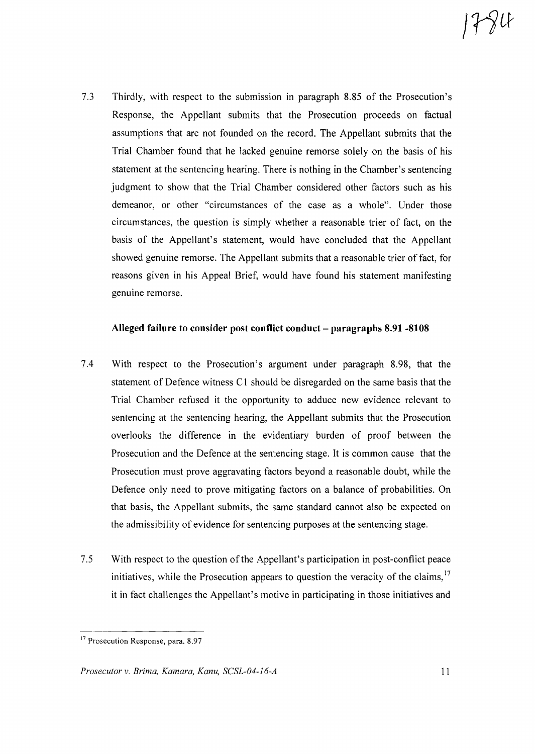7.3 Thirdly, with respect to the submission in paragraph 8.85 of the Prosecution's Response, the Appellant submits that the Prosecution proceeds on factual assumptions that are not founded on the record. The Appellant submits that the Trial Chamber found that he lacked genuine remorse solely on the basis of his statement at the sentencing hearing. There is nothing in the Chamber's sentencing judgment to show that the Trial Chamber considered other factors such as his demeanor, or other "circumstances of the case as a whole". Under those circumstances, the question is simply whether a reasonable trier of fact, on the basis of the Appellant's statement, would have concluded that the Appellant showed genuine remorse. The Appellant submits that a reasonable trier offact, for reasons given in his Appeal Brief, would have found his statement manifesting genuine remorse.

#### Alleged failure to consider post conflict conduct – paragraphs 8.91 -8108

- 7.4 With respect to the Prosecution's argument under paragraph 8.98, that the statement of Defence witness C1 should be disregarded on the same basis that the Trial Chamber refused it the opportunity to adduce new evidence relevant to sentencing at the sentencing hearing, the Appellant submits that the Prosecution overlooks the difference in the evidentiary burden of proof between the Prosecution and the Defence at the sentencing stage. It is common cause that the Prosecution must prove aggravating factors beyond a reasonable doubt, while the Defence only need to prove mitigating factors on a balance of probabilities. On that basis, the Appellant submits, the same standard cannot also be expected on the admissibility of evidence for sentencing purposes at the sentencing stage.
- 7.5 With respect to the question of the Appellant's participation in post-conflict peace initiatives, while the Prosecution appears to question the veracity of the claims,  $17$ it in fact challenges the Appellant's motive in participating in those initiatives and

<sup>&</sup>lt;sup>17</sup> Prosecution Response, para. 8.97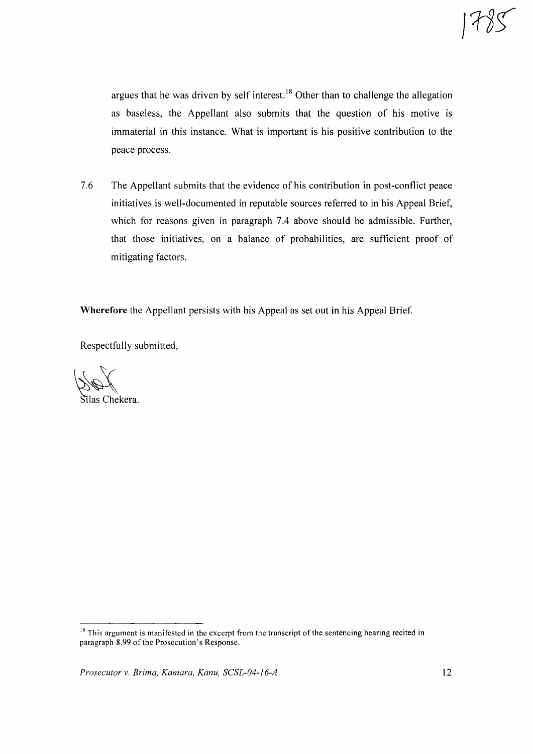argues that he was driven by self interest. <sup>18</sup> Other than to challenge the allegation as baseless, the Appellant also submits that the question of his motive is immaterial in this instance. What is important is his positive contribution to the peace process.

7.6 The Appellant submits that the evidence of his contribution in post-conflict peace initiatives is well-documented in reputable sources referred to in his Appeal Brief, which for reasons given in paragraph 7.4 above should be admissible. Further, that those initiatives, on a balance of probabilities, are sufficient proof of mitigating factors.

**Wherefore** the Appellant persists with his Appeal as set out in his Appeal Brief.

Respectfully submitted,

 $\#$ ilas Chekera.

<sup>&</sup>lt;sup>18</sup> This argument is manifested in the excerpt from the transcript of the sentencing hearing recited in paragraph 8.99 of the Prosecution's Response.